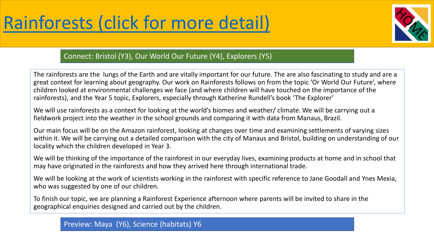

## Connect: Bristol (Y3), Our World Our Future (Y4), Explorers (Y5)

The rainforests are the lungs of the Earth and are vitally important for our future. The are also fascinating to study and are a great context for learning about geography. Our work on Rainforests follows on from the topic 'Or World Our Future', where children looked at environmental challenges we face (and where children will have touched on the importance of the rainforests), and the Year 5 topic, Explorers, especially through Katherine Rundell's book 'The Explorer'

We will use rainforests as a context for looking at the world's biomes and weather/ climate. We will be carrying out a fieldwork project into the weather in the school grounds and comparing it with data from Manaus, Brazil.

Our main focus will be on the Amazon rainforest, looking at changes over time and examining settlements of varying sizes within it. We will be carrying out a detailed comparison with the city of Manaus and Bristol, building on understanding of our locality which the children developed in Year 3.

We will be thinking of the importance of the rainforest in our everyday lives, examining products at home and in school that may have originated in the rainforests and how they arrived here through international trade.

We will be looking at the work of scientists working in the rainforest with specific reference to Jane Goodall and Ynes Mexia, who was suggested by one of our children.

To finish our topic, we are planning a Rainforest Experience afternoon where parents will be invited to share in the geographical enquiries designed and carried out by the children.

Preview: Maya (Y6), Science (habitats) Y6